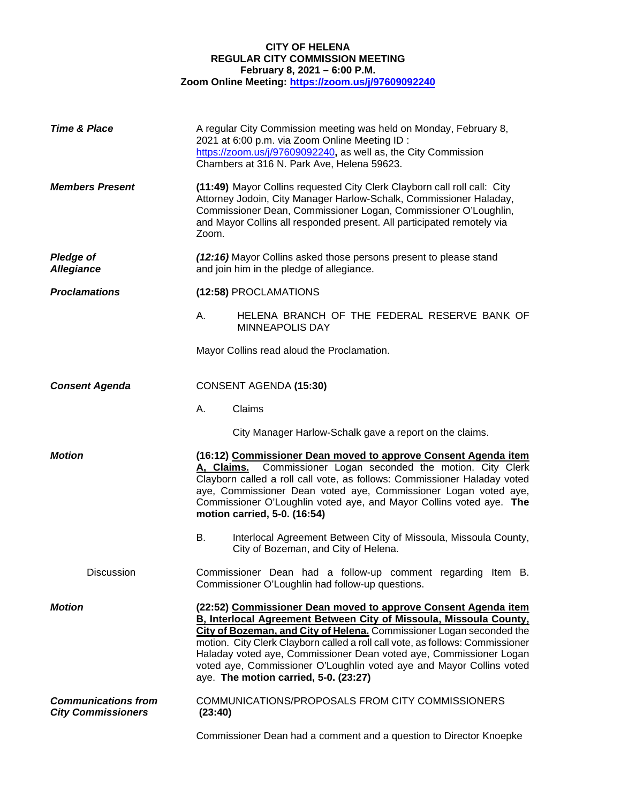## **CITY OF HELENA REGULAR CITY COMMISSION MEETING February 8, 2021 – 6:00 P.M. Zoom Online Meeting:<https://zoom.us/j/97609092240>**

| <b>Time &amp; Place</b>                                 | A regular City Commission meeting was held on Monday, February 8,<br>2021 at 6:00 p.m. via Zoom Online Meeting ID :<br>https://zoom.us/j/97609092240, as well as, the City Commission<br>Chambers at 316 N. Park Ave, Helena 59623.                                                                                                                                                                                                                                                  |                                                                                                                 |
|---------------------------------------------------------|--------------------------------------------------------------------------------------------------------------------------------------------------------------------------------------------------------------------------------------------------------------------------------------------------------------------------------------------------------------------------------------------------------------------------------------------------------------------------------------|-----------------------------------------------------------------------------------------------------------------|
| <b>Members Present</b>                                  | (11:49) Mayor Collins requested City Clerk Clayborn call roll call: City<br>Attorney Jodoin, City Manager Harlow-Schalk, Commissioner Haladay,<br>Commissioner Dean, Commissioner Logan, Commissioner O'Loughlin,<br>and Mayor Collins all responded present. All participated remotely via<br>Zoom.                                                                                                                                                                                 |                                                                                                                 |
| <b>Pledge of</b><br><b>Allegiance</b>                   | (12:16) Mayor Collins asked those persons present to please stand<br>and join him in the pledge of allegiance.                                                                                                                                                                                                                                                                                                                                                                       |                                                                                                                 |
| <b>Proclamations</b>                                    | (12:58) PROCLAMATIONS                                                                                                                                                                                                                                                                                                                                                                                                                                                                |                                                                                                                 |
|                                                         | А.                                                                                                                                                                                                                                                                                                                                                                                                                                                                                   | HELENA BRANCH OF THE FEDERAL RESERVE BANK OF<br><b>MINNEAPOLIS DAY</b>                                          |
|                                                         |                                                                                                                                                                                                                                                                                                                                                                                                                                                                                      | Mayor Collins read aloud the Proclamation.                                                                      |
| <b>Consent Agenda</b>                                   | CONSENT AGENDA (15:30)                                                                                                                                                                                                                                                                                                                                                                                                                                                               |                                                                                                                 |
|                                                         | Α.                                                                                                                                                                                                                                                                                                                                                                                                                                                                                   | Claims                                                                                                          |
|                                                         |                                                                                                                                                                                                                                                                                                                                                                                                                                                                                      | City Manager Harlow-Schalk gave a report on the claims.                                                         |
| <b>Motion</b>                                           | (16:12) Commissioner Dean moved to approve Consent Agenda item<br>Commissioner Logan seconded the motion. City Clerk<br>A, Claims.<br>Clayborn called a roll call vote, as follows: Commissioner Haladay voted<br>aye, Commissioner Dean voted aye, Commissioner Logan voted aye,<br>Commissioner O'Loughlin voted aye, and Mayor Collins voted aye. The<br>motion carried, 5-0. (16:54)                                                                                             |                                                                                                                 |
|                                                         | В.                                                                                                                                                                                                                                                                                                                                                                                                                                                                                   | Interlocal Agreement Between City of Missoula, Missoula County,<br>City of Bozeman, and City of Helena.         |
| <b>Discussion</b>                                       |                                                                                                                                                                                                                                                                                                                                                                                                                                                                                      | Commissioner Dean had a follow-up comment regarding Item B.<br>Commissioner O'Loughlin had follow-up questions. |
| <b>Motion</b>                                           | (22:52) Commissioner Dean moved to approve Consent Agenda item<br>B, Interlocal Agreement Between City of Missoula, Missoula County,<br>City of Bozeman, and City of Helena. Commissioner Logan seconded the<br>motion. City Clerk Clayborn called a roll call vote, as follows: Commissioner<br>Haladay voted aye, Commissioner Dean voted aye, Commissioner Logan<br>voted aye, Commissioner O'Loughlin voted aye and Mayor Collins voted<br>aye. The motion carried, 5-0. (23:27) |                                                                                                                 |
| <b>Communications from</b><br><b>City Commissioners</b> | (23:40)                                                                                                                                                                                                                                                                                                                                                                                                                                                                              | COMMUNICATIONS/PROPOSALS FROM CITY COMMISSIONERS                                                                |
|                                                         |                                                                                                                                                                                                                                                                                                                                                                                                                                                                                      | Commissioner Dean had a comment and a question to Director Knoepke                                              |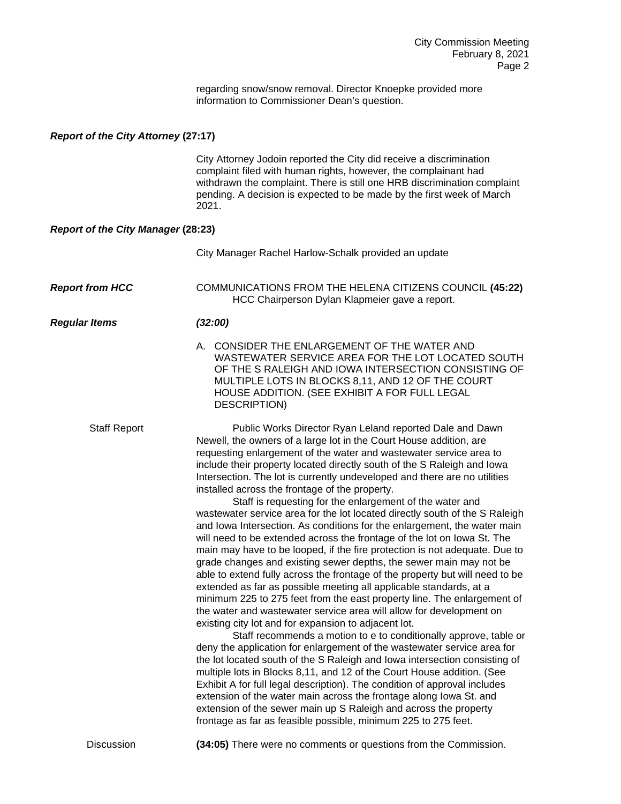regarding snow/snow removal. Director Knoepke provided more information to Commissioner Dean's question.

## *Report of the City Attorney* **(27:17)**

City Attorney Jodoin reported the City did receive a discrimination complaint filed with human rights, however, the complainant had withdrawn the complaint. There is still one HRB discrimination complaint pending. A decision is expected to be made by the first week of March 2021.

## *Report of the City Manager* **(28:23)**

|                        | City Manager Rachel Harlow-Schalk provided an update                                                                                                                                                                                                                                                                                                                                                                                                                                                                                                                                                                                                                                                                                                                                                                                                                                                                                                                                                                                                                                                                                                                                                                                                                                                                                                                                                                                                                                                                                                                                                                                                                                                                                                                                                                                  |
|------------------------|---------------------------------------------------------------------------------------------------------------------------------------------------------------------------------------------------------------------------------------------------------------------------------------------------------------------------------------------------------------------------------------------------------------------------------------------------------------------------------------------------------------------------------------------------------------------------------------------------------------------------------------------------------------------------------------------------------------------------------------------------------------------------------------------------------------------------------------------------------------------------------------------------------------------------------------------------------------------------------------------------------------------------------------------------------------------------------------------------------------------------------------------------------------------------------------------------------------------------------------------------------------------------------------------------------------------------------------------------------------------------------------------------------------------------------------------------------------------------------------------------------------------------------------------------------------------------------------------------------------------------------------------------------------------------------------------------------------------------------------------------------------------------------------------------------------------------------------|
| <b>Report from HCC</b> | COMMUNICATIONS FROM THE HELENA CITIZENS COUNCIL (45:22)<br>HCC Chairperson Dylan Klapmeier gave a report.                                                                                                                                                                                                                                                                                                                                                                                                                                                                                                                                                                                                                                                                                                                                                                                                                                                                                                                                                                                                                                                                                                                                                                                                                                                                                                                                                                                                                                                                                                                                                                                                                                                                                                                             |
| <b>Regular Items</b>   | (32:00)                                                                                                                                                                                                                                                                                                                                                                                                                                                                                                                                                                                                                                                                                                                                                                                                                                                                                                                                                                                                                                                                                                                                                                                                                                                                                                                                                                                                                                                                                                                                                                                                                                                                                                                                                                                                                               |
|                        | A. CONSIDER THE ENLARGEMENT OF THE WATER AND<br>WASTEWATER SERVICE AREA FOR THE LOT LOCATED SOUTH<br>OF THE S RALEIGH AND IOWA INTERSECTION CONSISTING OF<br>MULTIPLE LOTS IN BLOCKS 8,11, AND 12 OF THE COURT<br>HOUSE ADDITION. (SEE EXHIBIT A FOR FULL LEGAL<br><b>DESCRIPTION)</b>                                                                                                                                                                                                                                                                                                                                                                                                                                                                                                                                                                                                                                                                                                                                                                                                                                                                                                                                                                                                                                                                                                                                                                                                                                                                                                                                                                                                                                                                                                                                                |
| <b>Staff Report</b>    | Public Works Director Ryan Leland reported Dale and Dawn<br>Newell, the owners of a large lot in the Court House addition, are<br>requesting enlargement of the water and wastewater service area to<br>include their property located directly south of the S Raleigh and lowa<br>Intersection. The lot is currently undeveloped and there are no utilities<br>installed across the frontage of the property.<br>Staff is requesting for the enlargement of the water and<br>wastewater service area for the lot located directly south of the S Raleigh<br>and lowa Intersection. As conditions for the enlargement, the water main<br>will need to be extended across the frontage of the lot on lowa St. The<br>main may have to be looped, if the fire protection is not adequate. Due to<br>grade changes and existing sewer depths, the sewer main may not be<br>able to extend fully across the frontage of the property but will need to be<br>extended as far as possible meeting all applicable standards, at a<br>minimum 225 to 275 feet from the east property line. The enlargement of<br>the water and wastewater service area will allow for development on<br>existing city lot and for expansion to adjacent lot.<br>Staff recommends a motion to e to conditionally approve, table or<br>deny the application for enlargement of the wastewater service area for<br>the lot located south of the S Raleigh and lowa intersection consisting of<br>multiple lots in Blocks 8,11, and 12 of the Court House addition. (See<br>Exhibit A for full legal description). The condition of approval includes<br>extension of the water main across the frontage along lowa St. and<br>extension of the sewer main up S Raleigh and across the property<br>frontage as far as feasible possible, minimum 225 to 275 feet. |
| <b>Discussion</b>      | (34:05) There were no comments or questions from the Commission.                                                                                                                                                                                                                                                                                                                                                                                                                                                                                                                                                                                                                                                                                                                                                                                                                                                                                                                                                                                                                                                                                                                                                                                                                                                                                                                                                                                                                                                                                                                                                                                                                                                                                                                                                                      |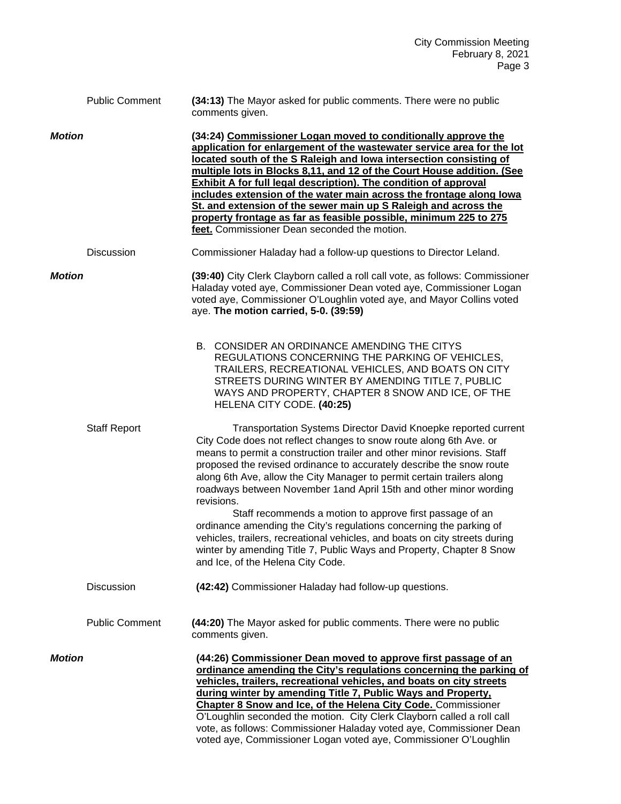|               | <b>Public Comment</b> | (34:13) The Mayor asked for public comments. There were no public<br>comments given.                                                                                                                                                                                                                                                                                                                                                                                                                                                                                                                                              |
|---------------|-----------------------|-----------------------------------------------------------------------------------------------------------------------------------------------------------------------------------------------------------------------------------------------------------------------------------------------------------------------------------------------------------------------------------------------------------------------------------------------------------------------------------------------------------------------------------------------------------------------------------------------------------------------------------|
| <b>Motion</b> |                       | (34:24) Commissioner Logan moved to conditionally approve the<br>application for enlargement of the wastewater service area for the lot<br>located south of the S Raleigh and lowa intersection consisting of<br>multiple lots in Blocks 8,11, and 12 of the Court House addition. (See<br><b>Exhibit A for full legal description). The condition of approval</b><br>includes extension of the water main across the frontage along lowa<br>St. and extension of the sewer main up S Raleigh and across the<br>property frontage as far as feasible possible, minimum 225 to 275<br>feet. Commissioner Dean seconded the motion. |
|               | Discussion            | Commissioner Haladay had a follow-up questions to Director Leland.                                                                                                                                                                                                                                                                                                                                                                                                                                                                                                                                                                |
| <b>Motion</b> |                       | (39:40) City Clerk Clayborn called a roll call vote, as follows: Commissioner<br>Haladay voted aye, Commissioner Dean voted aye, Commissioner Logan<br>voted aye, Commissioner O'Loughlin voted aye, and Mayor Collins voted<br>aye. The motion carried, 5-0. (39:59)                                                                                                                                                                                                                                                                                                                                                             |
|               |                       | B. CONSIDER AN ORDINANCE AMENDING THE CITYS<br>REGULATIONS CONCERNING THE PARKING OF VEHICLES,<br>TRAILERS, RECREATIONAL VEHICLES, AND BOATS ON CITY<br>STREETS DURING WINTER BY AMENDING TITLE 7, PUBLIC<br>WAYS AND PROPERTY, CHAPTER 8 SNOW AND ICE, OF THE<br>HELENA CITY CODE. (40:25)                                                                                                                                                                                                                                                                                                                                       |
|               | <b>Staff Report</b>   | Transportation Systems Director David Knoepke reported current<br>City Code does not reflect changes to snow route along 6th Ave. or<br>means to permit a construction trailer and other minor revisions. Staff<br>proposed the revised ordinance to accurately describe the snow route<br>along 6th Ave, allow the City Manager to permit certain trailers along<br>roadways between November 1 and April 15th and other minor wording<br>revisions.                                                                                                                                                                             |
|               |                       | Staff recommends a motion to approve first passage of an<br>ordinance amending the City's regulations concerning the parking of<br>vehicles, trailers, recreational vehicles, and boats on city streets during<br>winter by amending Title 7, Public Ways and Property, Chapter 8 Snow<br>and Ice, of the Helena City Code.                                                                                                                                                                                                                                                                                                       |
|               | Discussion            | (42:42) Commissioner Haladay had follow-up questions.                                                                                                                                                                                                                                                                                                                                                                                                                                                                                                                                                                             |
|               | <b>Public Comment</b> | (44:20) The Mayor asked for public comments. There were no public<br>comments given.                                                                                                                                                                                                                                                                                                                                                                                                                                                                                                                                              |
| <b>Motion</b> |                       | (44:26) Commissioner Dean moved to approve first passage of an<br>ordinance amending the City's regulations concerning the parking of<br>vehicles, trailers, recreational vehicles, and boats on city streets<br>during winter by amending Title 7, Public Ways and Property,<br>Chapter 8 Snow and Ice, of the Helena City Code. Commissioner<br>O'Loughlin seconded the motion. City Clerk Clayborn called a roll call<br>vote, as follows: Commissioner Haladay voted aye, Commissioner Dean<br>voted aye, Commissioner Logan voted aye, Commissioner O'Loughlin                                                               |